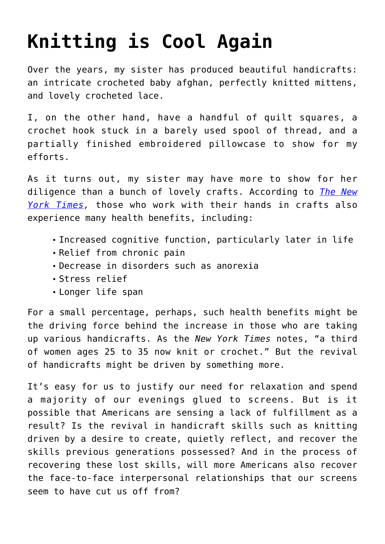## **[Knitting is Cool Again](https://intellectualtakeout.org/2016/01/knitting-is-cool-again/)**

Over the years, my sister has produced beautiful handicrafts: an intricate crocheted baby afghan, perfectly knitted mittens, and lovely crocheted lace.

I, on the other hand, have a handful of quilt squares, a crochet hook stuck in a barely used spool of thread, and a partially finished embroidered pillowcase to show for my efforts.

As it turns out, my sister may have more to show for her diligence than a bunch of lovely crafts. According to *[The New](http://well.blogs.nytimes.com/2016/01/25/the-health-benefits-of-knitting/?_r=0) [York Times,](http://well.blogs.nytimes.com/2016/01/25/the-health-benefits-of-knitting/?_r=0)* those who work with their hands in crafts also experience many health benefits, including:

- Increased cognitive function, particularly later in life
- Relief from chronic pain
- Decrease in disorders such as anorexia
- Stress relief
- Longer life span

For a small percentage, perhaps, such health benefits might be the driving force behind the increase in those who are taking up various handicrafts. As the *New York Times* notes, "a third of women ages 25 to 35 now knit or crochet." But the revival of handicrafts might be driven by something more.

It's easy for us to justify our need for relaxation and spend a majority of our evenings glued to screens. But is it possible that Americans are sensing a lack of fulfillment as a result? Is the revival in handicraft skills such as knitting driven by a desire to create, quietly reflect, and recover the skills previous generations possessed? And in the process of recovering these lost skills, will more Americans also recover the face-to-face interpersonal relationships that our screens seem to have cut us off from?